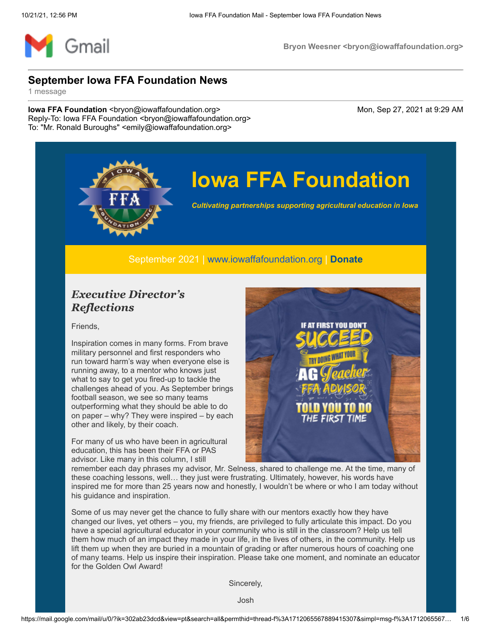

# **Iowa FFA Foundation**

*Cultivating partnerships supporting agricultural education in Iowa*

September 2021 | [www.iowaffafoundation.org](http://www.iowaffafoundation.org/) | **[Donate](https://eml-pusa01.app.blackbaud.net/intv2/j/DB6C70EC-7D0D-4D23-A083-8088BC090529/r/DB6C70EC-7D0D-4D23-A083-8088BC090529_25b5c63a-c603-4d76-bb6b-01f777e61a8a/l/FE31CA40-0A09-4718-9DE4-D7D2259307D3/c)**

### *Executive Director's Reflections*

Friends,

Inspiration comes in many forms. From brave military personnel and first responders who run toward harm's way when everyone else is running away, to a mentor who knows just what to say to get you fired-up to tackle the challenges ahead of you. As September brings football season, we see so many teams outperforming what they should be able to do on paper – why? They were inspired – by each other and likely, by their coach.

For many of us who have been in agricultural education, this has been their FFA or PAS advisor. Like many in this column, I still



remember each day phrases my advisor, Mr. Selness, shared to challenge me. At the time, many of these coaching lessons, well… they just were frustrating. Ultimately, however, his words have inspired me for more than 25 years now and honestly, I wouldn't be where or who I am today without his guidance and inspiration.

Some of us may never get the chance to fully share with our mentors exactly how they have changed our lives, yet others – you, my friends, are privileged to fully articulate this impact. Do you have a special agricultural educator in your community who is still in the classroom? Help us tell them how much of an impact they made in your life, in the lives of others, in the community. Help us lift them up when they are buried in a mountain of grading or after numerous hours of coaching one of many teams. Help us inspire their inspiration. Please take one moment, and nominate an educator for the Golden Owl Award!

Sincerely,

Josh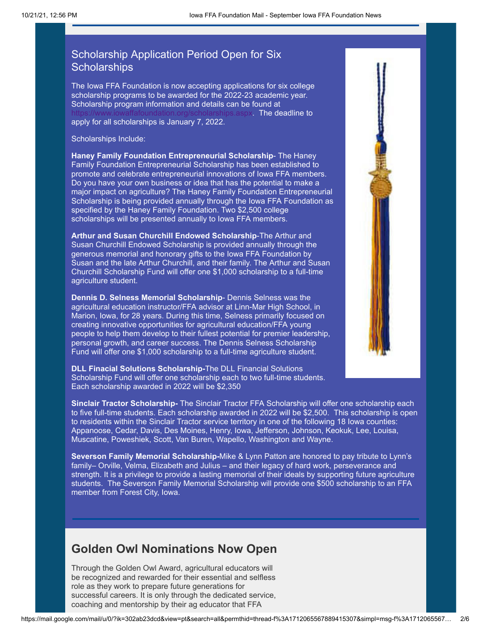### Scholarship Application Period Open for Six **Scholarships**

The Iowa FFA Foundation is now accepting applications for six college scholarship programs to be awarded for the 2022-23 academic year. Scholarship program information and details can be found at s.aspx. The deadline to apply for all scholarships is January 7, 2022.

Scholarships Include:

**Haney Family Foundation Entrepreneurial Scholarship**- The Haney Family Foundation Entrepreneurial Scholarship has been established to promote and celebrate entrepreneurial innovations of Iowa FFA members. Do you have your own business or idea that has the potential to make a major impact on agriculture? The Haney Family Foundation Entrepreneurial Scholarship is being provided annually through the Iowa FFA Foundation as specified by the Haney Family Foundation. Two \$2,500 college scholarships will be presented annually to Iowa FFA members.

**Arthur and Susan Churchill Endowed Scholarship**-The Arthur and Susan Churchill Endowed Scholarship is provided annually through the generous memorial and honorary gifts to the Iowa FFA Foundation by Susan and the late Arthur Churchill, and their family. The Arthur and Susan Churchill Scholarship Fund will offer one \$1,000 scholarship to a full-time agriculture student.

**Dennis D. Selness Memorial Scholarship**- Dennis Selness was the agricultural education instructor/FFA advisor at Linn-Mar High School, in Marion, Iowa, for 28 years. During this time, Selness primarily focused on creating innovative opportunities for agricultural education/FFA young people to help them develop to their fullest potential for premier leadership, personal growth, and career success. The Dennis Selness Scholarship Fund will offer one \$1,000 scholarship to a full-time agriculture student.

**DLL Finacial Solutions Scholarship-**The DLL Financial Solutions Scholarship Fund will offer one scholarship each to two full-time students. Each scholarship awarded in 2022 will be \$2,350

**Sinclair Tractor Scholarship-** The Sinclair Tractor FFA Scholarship will offer one scholarship each to five full-time students. Each scholarship awarded in 2022 will be \$2,500. This scholarship is open to residents within the Sinclair Tractor service territory in one of the following 18 Iowa counties: Appanoose, Cedar, Davis, Des Moines, Henry, Iowa, Jefferson, Johnson, Keokuk, Lee, Louisa, Muscatine, Poweshiek, Scott, Van Buren, Wapello, Washington and Wayne.

**Severson Family Memorial Scholarship-**Mike & Lynn Patton are honored to pay tribute to Lynn's family– Orville, Velma, Elizabeth and Julius – and their legacy of hard work, perseverance and strength. It is a privilege to provide a lasting memorial of their ideals by supporting future agriculture students. The Severson Family Memorial Scholarship will provide one \$500 scholarship to an FFA member from Forest City, Iowa.

## **Golden Owl Nominations Now Open**

Through the Golden Owl Award, agricultural educators will be recognized and rewarded for their essential and selfless role as they work to prepare future generations for successful careers. It is only through the dedicated service, coaching and mentorship by their ag educator that FFA

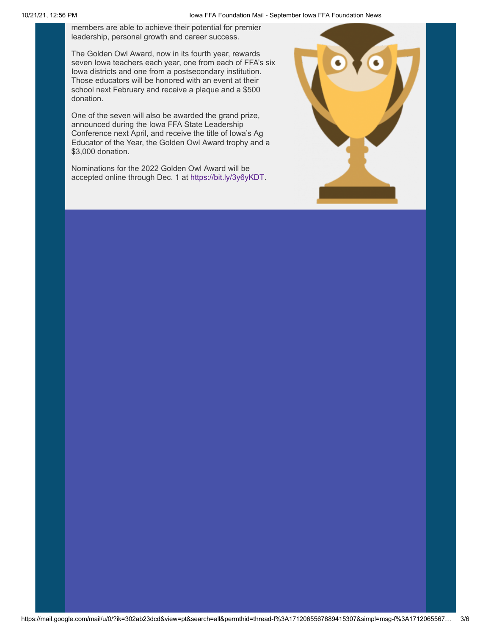members are able to achieve their potential for premier leadership, personal growth and career success.

The Golden Owl Award, now in its fourth year, rewards seven Iowa teachers each year, one from each of FFA's six Iowa districts and one from a postsecondary institution. Those educators will be honored with an event at their school next February and receive a plaque and a \$500 donation.

One of the seven will also be awarded the grand prize, announced during the Iowa FFA State Leadership Conference next April, and receive the title of Iowa's Ag Educator of the Year, the Golden Owl Award trophy and a \$3,000 donation.

Nominations for the 2022 Golden Owl Award will be accepted online through Dec. 1 at [https://bit.ly/3y6yKDT.](https://bit.ly/3y6yKDT)

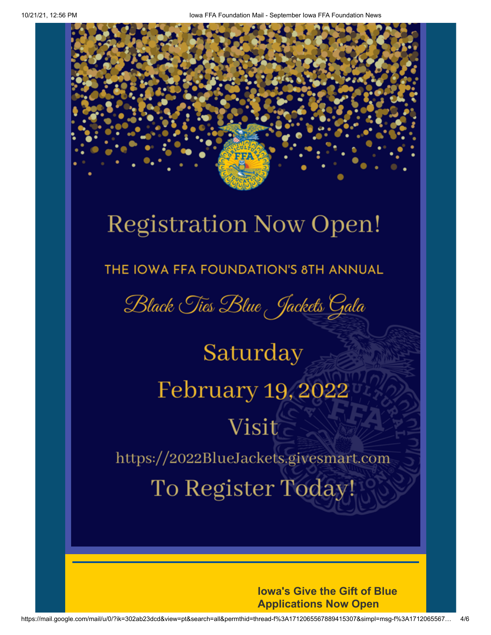# **Registration Now Open!**

THE IOWA FFA FOUNDATION'S 8TH ANNUAL

Black Ties Blue Jackets Gala

Saturday February 19, 2022 Visit https://2022BlueJackets.givesmart.com To Register Today!

> **Iowa's Give the Gift of Blue Applications Now Open**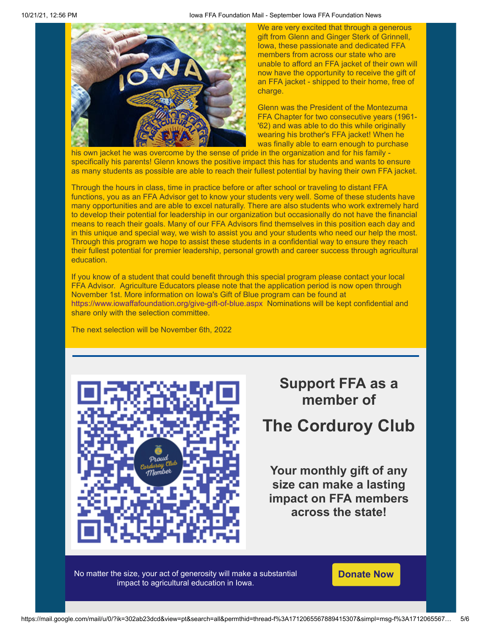

We are very excited that through a generous gift from Glenn and Ginger Sterk of Grinnell, Iowa, these passionate and dedicated FFA members from across our state who are unable to afford an FFA jacket of their own will now have the opportunity to receive the gift of an FFA jacket - shipped to their home, free of charge.

Glenn was the President of the Montezuma FFA Chapter for two consecutive years (1961- '62) and was able to do this while originally wearing his brother's FFA jacket! When he was finally able to earn enough to purchase

his own jacket he was overcome by the sense of pride in the organization and for his family specifically his parents! Glenn knows the positive impact this has for students and wants to ensure as many students as possible are able to reach their fullest potential by having their own FFA jacket.

Through the hours in class, time in practice before or after school or traveling to distant FFA functions, you as an FFA Advisor get to know your students very well. Some of these students have many opportunities and are able to excel naturally. There are also students who work extremely hard to develop their potential for leadership in our organization but occasionally do not have the financial means to reach their goals. Many of our FFA Advisors find themselves in this position each day and in this unique and special way, we wish to assist you and your students who need our help the most. Through this program we hope to assist these students in a confidential way to ensure they reach their fullest potential for premier leadership, personal growth and career success through agricultural education.

If you know of a student that could benefit through this special program please contact your local FFA Advisor. Agriculture Educators please note that the application period is now open through November 1st. More information on Iowa's Gift of Blue program can be found at <https://www.iowaffafoundation.org/give-gift-of-blue.aspx> Nominations will be kept confidential and share only with the selection committee.

The next selection will be November 6th, 2022



## **Support FFA as a member of**

## **The Corduroy Club**

**Your monthly gift of any size can make a lasting impact on FFA members across the state!**

No matter the size, your act of generosity will make a substantial impact to agricultural education in Iowa.

**[Donate Now](https://eml-pusa01.app.blackbaud.net/intv2/j/DB6C70EC-7D0D-4D23-A083-8088BC090529/r/DB6C70EC-7D0D-4D23-A083-8088BC090529_25b5c63a-c603-4d76-bb6b-01f777e61a8a/l/505EF28D-C1C4-4E29-A110-9C1C0866D3D8/c)**